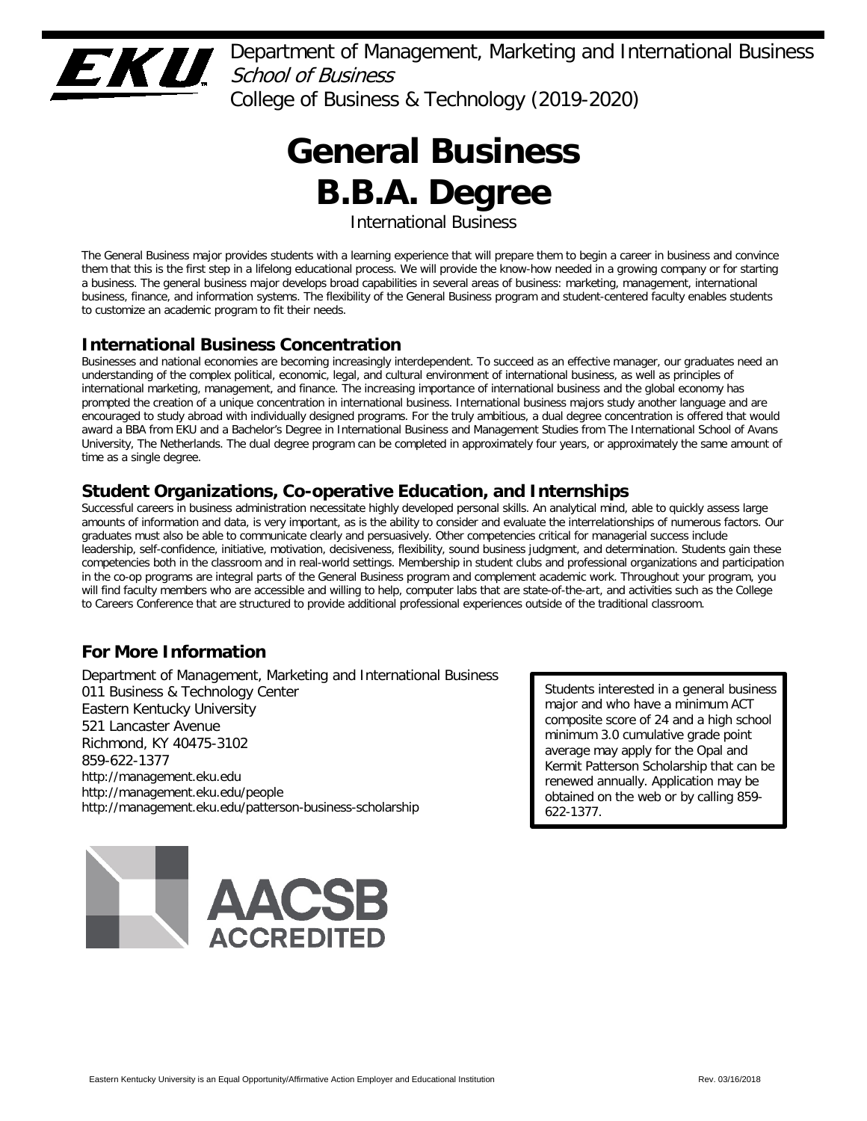

Department of Management, Marketing and International Business School of Business College of Business & Technology (2019-2020)

# **General Business B.B.A. Degree**

International Business

The General Business major provides students with a learning experience that will prepare them to begin a career in business and convince them that this is the first step in a lifelong educational process. We will provide the know-how needed in a growing company or for starting a business. The general business major develops broad capabilities in several areas of business: marketing, management, international business, finance, and information systems. The flexibility of the General Business program and student-centered faculty enables students to customize an academic program to fit their needs.

# **International Business Concentration**

Businesses and national economies are becoming increasingly interdependent. To succeed as an effective manager, our graduates need an understanding of the complex political, economic, legal, and cultural environment of international business, as well as principles of international marketing, management, and finance. The increasing importance of international business and the global economy has prompted the creation of a unique concentration in international business. International business majors study another language and are encouraged to study abroad with individually designed programs. For the truly ambitious, a dual degree concentration is offered that would award a BBA from EKU and a Bachelor's Degree in International Business and Management Studies from The International School of Avans University, The Netherlands. The dual degree program can be completed in approximately four years, or approximately the same amount of time as a single degree.

# **Student Organizations, Co-operative Education, and Internships**

Successful careers in business administration necessitate highly developed personal skills. An analytical mind, able to quickly assess large amounts of information and data, is very important, as is the ability to consider and evaluate the interrelationships of numerous factors. Our graduates must also be able to communicate clearly and persuasively. Other competencies critical for managerial success include leadership, self-confidence, initiative, motivation, decisiveness, flexibility, sound business judgment, and determination. Students gain these competencies both in the classroom and in real-world settings. Membership in student clubs and professional organizations and participation in the co-op programs are integral parts of the General Business program and complement academic work. Throughout your program, you will find faculty members who are accessible and willing to help, computer labs that are state-of-the-art, and activities such as the College to Careers Conference that are structured to provide additional professional experiences outside of the traditional classroom.

# **For More Information**

Department of Management, Marketing and International Business 011 Business & Technology Center Eastern Kentucky University 521 Lancaster Avenue Richmond, KY 40475-3102 859-622-1377 http://management.eku.edu http://management.eku.edu/people http://management.eku.edu/patterson-business-scholarship

Students interested in a general business major and who have a minimum ACT composite score of 24 and a high school minimum 3.0 cumulative grade point average may apply for the Opal and Kermit Patterson Scholarship that can be renewed annually. Application may be obtained on the web or by calling 859- 622-1377.